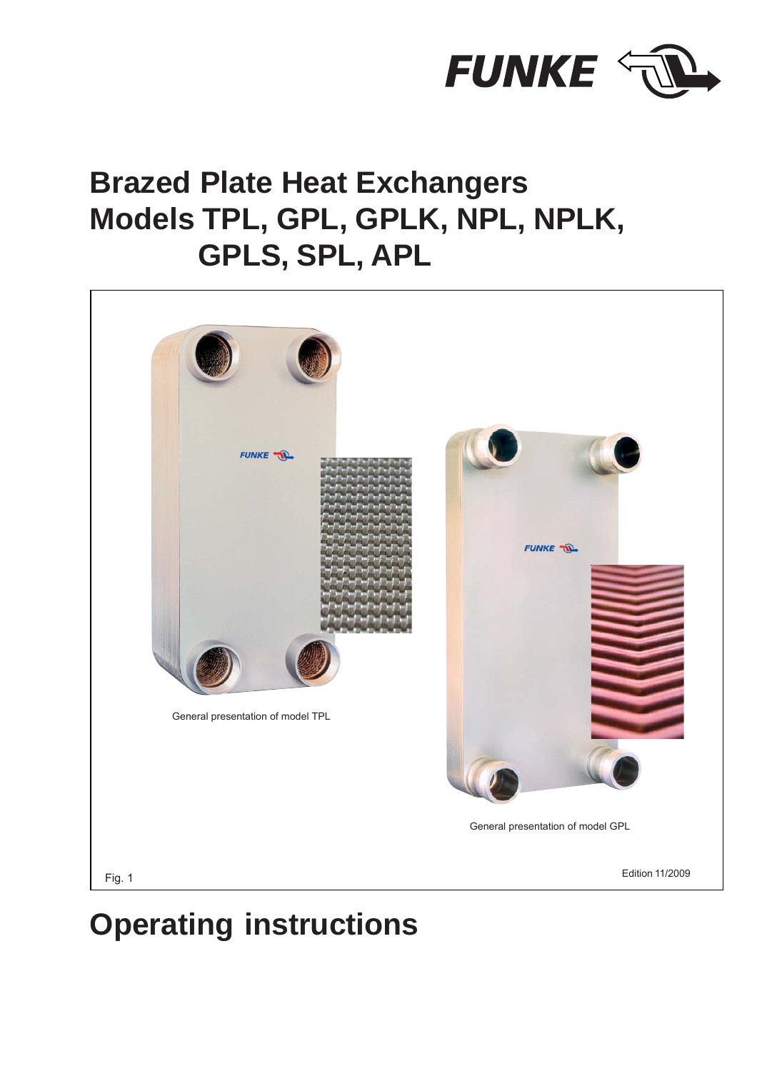

# **Brazed Plate Heat Exchangers Models TPL, GPL, GPLK, NPL, NPLK, GPLS, SPL, APL**



# **Operating instructions**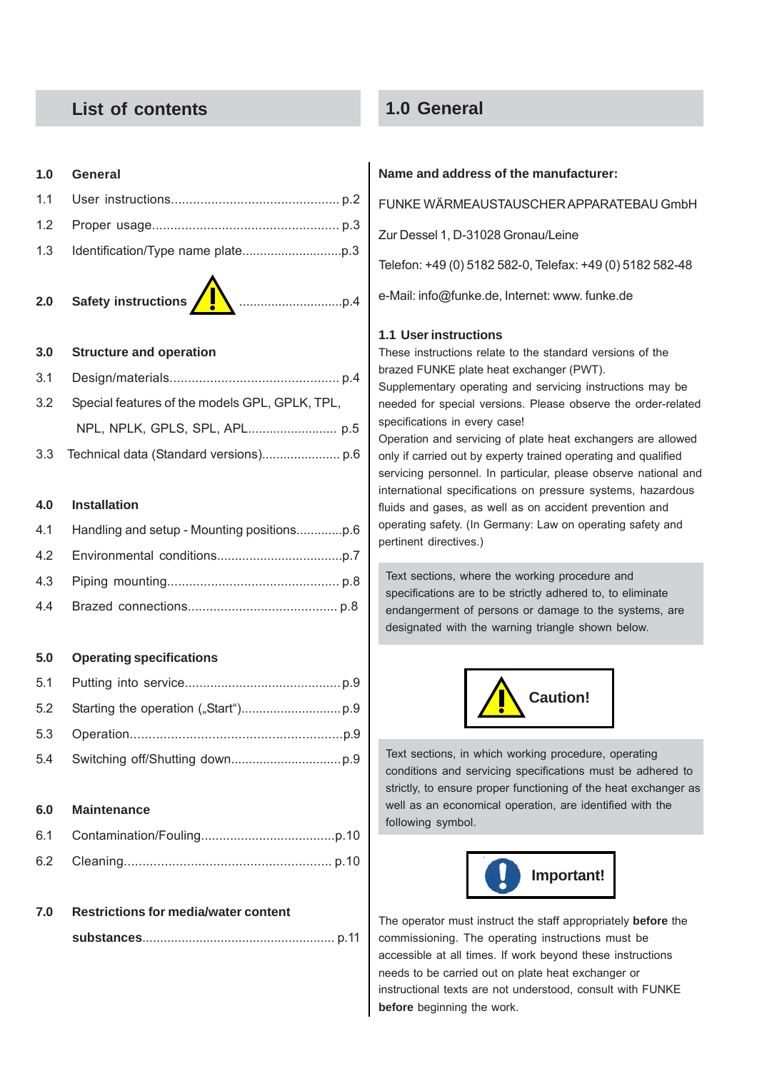## **List of contents**

## **1.0 General**

#### **1.0 General**

#### **3.0 Structure and operation**

| 3.2 Special features of the models GPL, GPLK, TPL, |
|----------------------------------------------------|
|                                                    |
|                                                    |

3.3 Technical data (Standard versions)...................... p.6

#### **4.0 Installation**

#### **5.0 Operating specifications**

#### **6.0 Maintenance**

#### **7.0 Restrictions for media/water content**

|--|--|--|--|--|--|--|--|--|--|--|--|--|--|--|--|--|--|--|--|--|--|--|--|--|--|--|--|--|--|--|--|--|--|--|--|--|--|--|--|--|--|--|--|--|--|--|--|--|--|--|--|--|--|--|--|--|--|--|--|--|--|--|--|--|--|--|--|--|--|--|--|--|--|--|--|--|--|--|--|--|--|--|--|--|--|--|--|--|--|--|--|--|--|--|--|--|--|--|--|--|--|--|--|--|--|--|--|--|--|--|--|--|--|--|--|--|--|--|--|--|--|--|--|--|--|--|--|--|--|--|--|--|--|--|--|--|--|--|--|--|--|--|--|--|--|--|

#### **Name and address of the manufacturer:**

FUNKE WÄRMEAUSTAUSCHER APPARATEBAU GmbH

Zur Dessel 1, D-31028 Gronau/Leine

Telefon: +49 (0) 5182 582-0, Telefax: +49 (0) 5182 582-48

e-Mail: info@funke.de, Internet: www. funke.de

#### **1.1 User instructions**

These instructions relate to the standard versions of the brazed FUNKE plate heat exchanger (PWT).

Supplementary operating and servicing instructions may be needed for special versions. Please observe the order-related specifications in every case!

Operation and servicing of plate heat exchangers are allowed only if carried out by experty trained operating and qualified servicing personnel. In particular, please observe national and international specifications on pressure systems, hazardous fluids and gases, as well as on accident prevention and operating safety. (In Germany: Law on operating safety and pertinent directives.)

Text sections, where the working procedure and specifications are to be strictly adhered to, to eliminate endangerment of persons or damage to the systems, are designated with the warning triangle shown below.



Text sections, in which working procedure, operating conditions and servicing specifications must be adhered to strictly, to ensure proper functioning of the heat exchanger as well as an economical operation, are identified with the following symbol.



The operator must instruct the staff appropriately **before** the commissioning. The operating instructions must be accessible at all times. If work beyond these instructions needs to be carried out on plate heat exchanger or instructional texts are not understood, consult with FUNKE **before** beginning the work.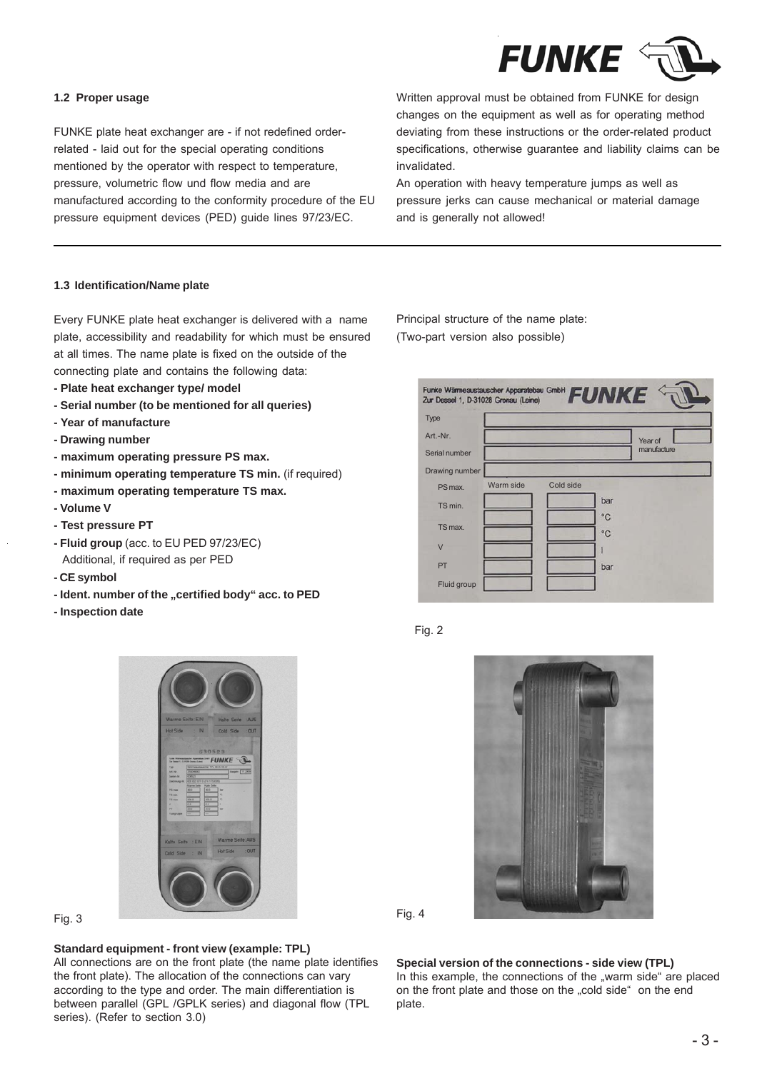

#### **1.2 Proper usage**

FUNKE plate heat exchanger are - if not redefined orderrelated - laid out for the special operating conditions mentioned by the operator with respect to temperature, pressure, volumetric flow und flow media and are manufactured according to the conformity procedure of the EU pressure equipment devices (PED) guide lines 97/23/EC.

Written approval must be obtained from FUNKE for design changes on the equipment as well as for operating method deviating from these instructions or the order-related product specifications, otherwise guarantee and liability claims can be invalidated.

An operation with heavy temperature jumps as well as pressure jerks can cause mechanical or material damage and is generally not allowed!

#### **1.3 Identification/Name plate**

Every FUNKE plate heat exchanger is delivered with a name plate, accessibility and readability for which must be ensured at all times. The name plate is fixed on the outside of the connecting plate and contains the following data:

- **Plate heat exchanger type/ model**
- **Serial number (to be mentioned for all queries)**
- **Year of manufacture**
- **Drawing number**
- **maximum operating pressure PS max.**
- **minimum operating temperature TS min.** (if required)
- **maximum operating temperature TS max.**
- **Volume V**
- **Test pressure PT**
- **Fluid group** (acc. to EU PED 97/23/EC) Additional, if required as per PED
- **CE symbol**
- Ident. number of the "certified body" acc. to PED
- **Inspection date**



#### **Standard equipment - front view (example: TPL)**

All connections are on the front plate (the name plate identifies the front plate). The allocation of the connections can vary according to the type and order. The main differentiation is between parallel (GPL /GPLK series) and diagonal flow (TPL series). (Refer to section 3.0)

Principal structure of the name plate: (Two-part version also possible)

| Funke Wärmeaustauscher Apparatebau GmbH FUNKE |           |           |     |             |
|-----------------------------------------------|-----------|-----------|-----|-------------|
| Type                                          |           |           |     |             |
| Art.-Nr.                                      |           |           |     | Year of     |
| Serial number                                 |           |           |     | manufacture |
| Drawing number                                |           |           |     |             |
| PS max.                                       | Warm side | Cold side |     |             |
| TS min.                                       |           |           | bar |             |
| TS max.                                       |           |           | °C  |             |
|                                               |           |           | °C  |             |
| $\overline{V}$                                |           |           |     |             |
| PT                                            |           |           | bar |             |
| Fluid group                                   |           |           |     |             |







**Special version of the connections - side view (TPL)** In this example, the connections of the "warm side" are placed on the front plate and those on the "cold side" on the end plate.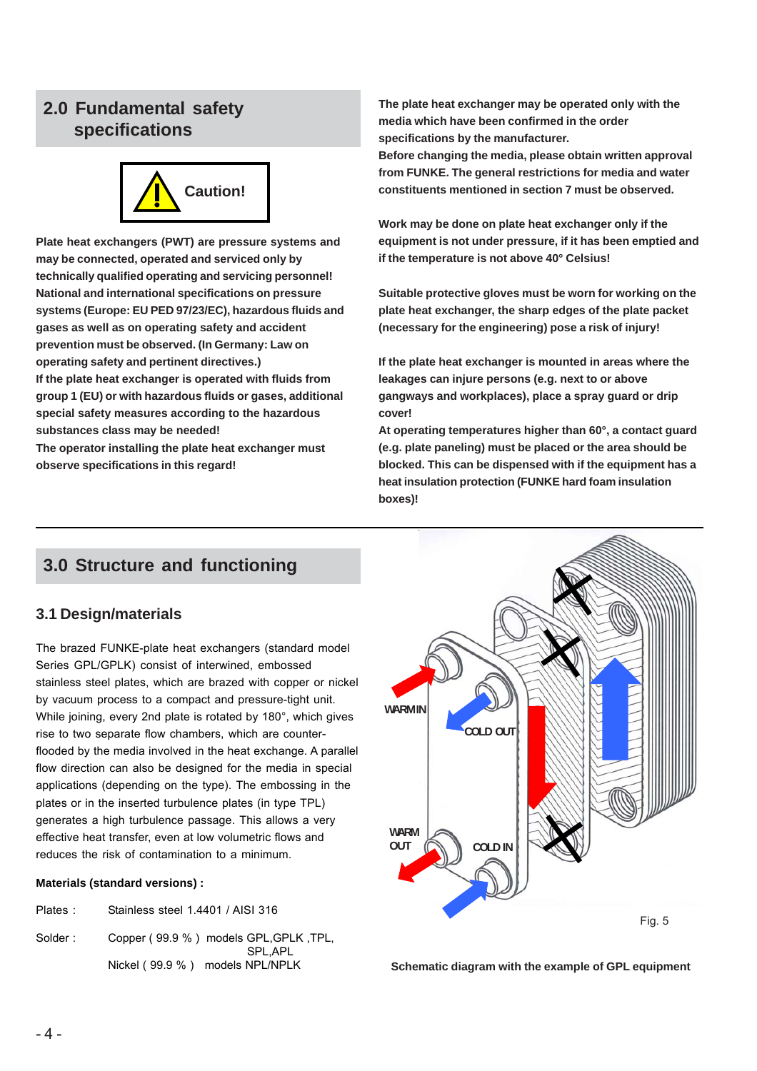## **2.0 Fundamental safety specifications**



**Plate heat exchangers (PWT) are pressure systems and may be connected, operated and serviced only by technically qualified operating and servicing personnel! National and international specifications on pressure systems (Europe: EU PED 97/23/EC), hazardous fluids and gases as well as on operating safety and accident prevention must be observed. (In Germany: Law on operating safety and pertinent directives.) If the plate heat exchanger is operated with fluids from group 1 (EU) or with hazardous fluids or gases, additional**

**special safety measures according to the hazardous substances class may be needed!**

**The operator installing the plate heat exchanger must observe specifications in this regard!**

**The plate heat exchanger may be operated only with the media which have been confirmed in the order specifications by the manufacturer.**

**Before changing the media, please obtain written approval from FUNKE. The general restrictions for media and water constituents mentioned in section 7 must be observed.**

**Work may be done on plate heat exchanger only if the equipment is not under pressure, if it has been emptied and if the temperature is not above 40° Celsius!**

**Suitable protective gloves must be worn for working on the plate heat exchanger, the sharp edges of the plate packet (necessary for the engineering) pose a risk of injury!**

**If the plate heat exchanger is mounted in areas where the leakages can injure persons (e.g. next to or above gangways and workplaces), place a spray guard or drip cover!**

**At operating temperatures higher than 60°, a contact guard (e.g. plate paneling) must be placed or the area should be blocked. This can be dispensed with if the equipment has a heat insulation protection (FUNKE hard foam insulation boxes)!**

# **3.0 Structure and functioning**

## **3.1 Design/materials**

The brazed FUNKE-plate heat exchangers (standard model Series GPL/GPLK) consist of interwined, embossed stainless steel plates, which are brazed with copper or nickel by vacuum process to a compact and pressure-tight unit. While joining, every 2nd plate is rotated by 180°, which gives rise to two separate flow chambers, which are counterflooded by the media involved in the heat exchange. A parallel flow direction can also be designed for the media in special applications (depending on the type). The embossing in the plates or in the inserted turbulence plates (in type TPL) generates a high turbulence passage. This allows a very effective heat transfer, even at low volumetric flows and reduces the risk of contamination to a minimum.

#### **Materials (standard versions) :**

| Plates: | Stainless steel 1.4401 / AISI 316 |  |
|---------|-----------------------------------|--|
|         |                                   |  |

Solder : Copper ( 99.9 % ) models GPL, GPLK , TPL, SPL,APL



Nickel ( 99.9 % ) models NPL/NPLK **Schematic diagram with the example of GPL equipment**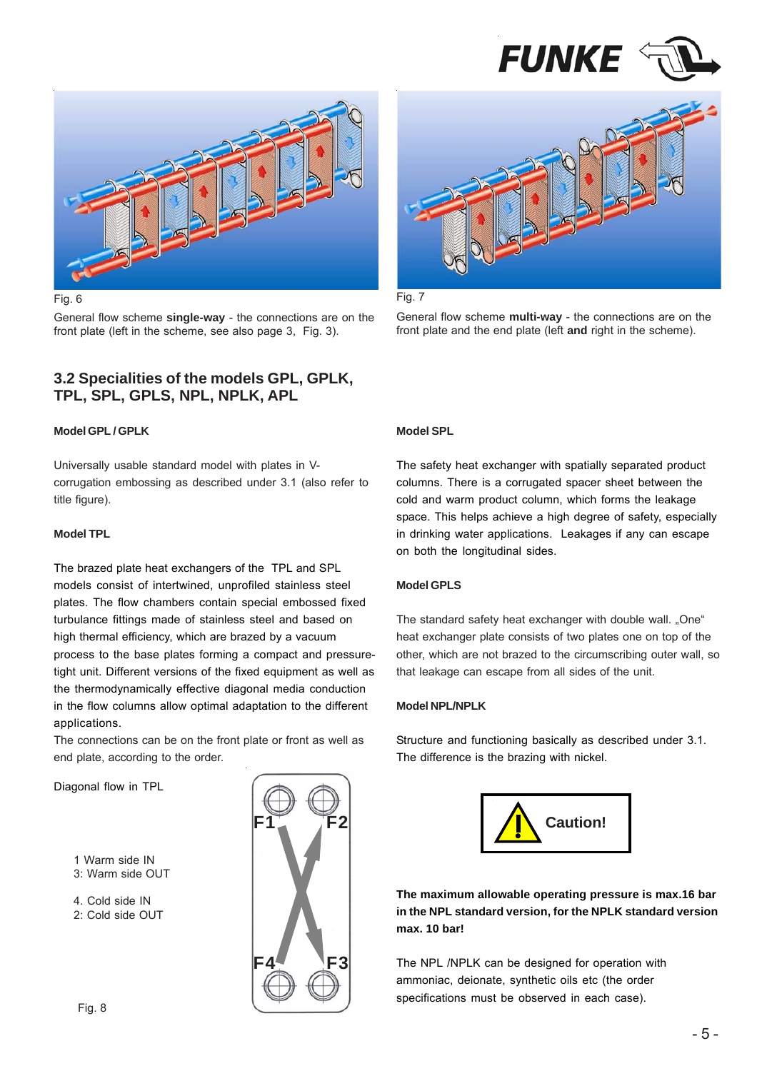



General flow scheme **single-way** - the connections are on the front plate (left in the scheme, see also page 3, Fig. 3).

### **3.2 Specialities of the models GPL, GPLK, TPL, SPL, GPLS, NPL, NPLK, APL**

#### **Model GPL / GPLK**

Universally usable standard model with plates in Vcorrugation embossing as described under 3.1 (also refer to title figure).

#### **Model TPL**

The brazed plate heat exchangers of the TPL and SPL models consist of intertwined, unprofiled stainless steel plates. The flow chambers contain special embossed fixed turbulance fittings made of stainless steel and based on high thermal efficiency, which are brazed by a vacuum process to the base plates forming a compact and pressuretight unit. Different versions of the fixed equipment as well as the thermodynamically effective diagonal media conduction in the flow columns allow optimal adaptation to the different applications.

The connections can be on the front plate or front as well as end plate, according to the order.

Diagonal flow in TPL



4. Cold side IN







General flow scheme **multi-way** - the connections are on the front plate and the end plate (left **and** right in the scheme).

#### **Model SPL**

The safety heat exchanger with spatially separated product columns. There is a corrugated spacer sheet between the cold and warm product column, which forms the leakage space. This helps achieve a high degree of safety, especially in drinking water applications. Leakages if any can escape on both the longitudinal sides.

#### **Model GPLS**

The standard safety heat exchanger with double wall. "One" heat exchanger plate consists of two plates one on top of the other, which are not brazed to the circumscribing outer wall, so that leakage can escape from all sides of the unit.

#### **Model NPL/NPLK**

Structure and functioning basically as described under 3.1. The difference is the brazing with nickel.



**The maximum allowable operating pressure is max.16 bar in the NPL standard version, for the NPLK standard version max. 10 bar!**

The NPL /NPLK can be designed for operation with ammoniac, deionate, synthetic oils etc (the order specifications must be observed in each case).

<sup>2:</sup> Cold side OUT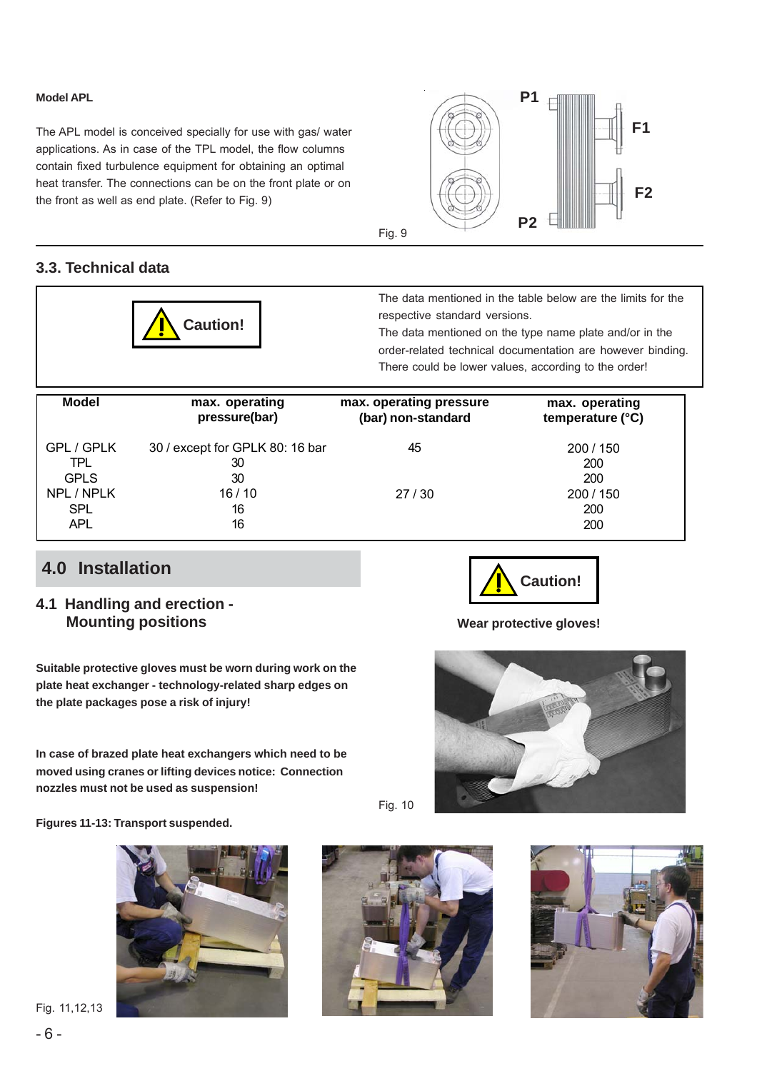#### **Model APL**

The APL model is conceived specially for use with gas/ water applications. As in case of the TPL model, the flow columns contain fixed turbulence equipment for obtaining an optimal heat transfer. The connections can be on the front plate or on the front as well as end plate. (Refer to Fig. 9)



## **3.3. Technical data**



The data mentioned in the table below are the limits for the respective standard versions.

The data mentioned on the type name plate and/or in the order-related technical documentation are however binding. There could be lower values, according to the order!

| <b>Model</b> | max. operating                  | max. operating pressure | max. operating   |
|--------------|---------------------------------|-------------------------|------------------|
|              | pressure(bar)                   | (bar) non-standard      | temperature (°C) |
| GPL / GPLK   | 30 / except for GPLK 80: 16 bar | 45                      | 200/150          |
| TPL          | 30                              |                         | 200              |
| <b>GPLS</b>  | 30                              | 27/30                   | 200              |
| NPL / NPLK   | 16/10                           |                         | 200 / 150        |
| <b>SPL</b>   | 16                              |                         | 200              |
| <b>APL</b>   | 16                              |                         | 200              |

# **4.0 Installation**

## **4.1 Handling and erection - Mounting positions**

**Suitable protective gloves must be worn during work on the plate heat exchanger - technology-related sharp edges on the plate packages pose a risk of injury!**

**In case of brazed plate heat exchangers which need to be moved using cranes or lifting devices notice: Connection nozzles must not be used as suspension!**

**Figures 11-13: Transport suspended.**



Fig. 11,12,13





**Wear protective gloves!**



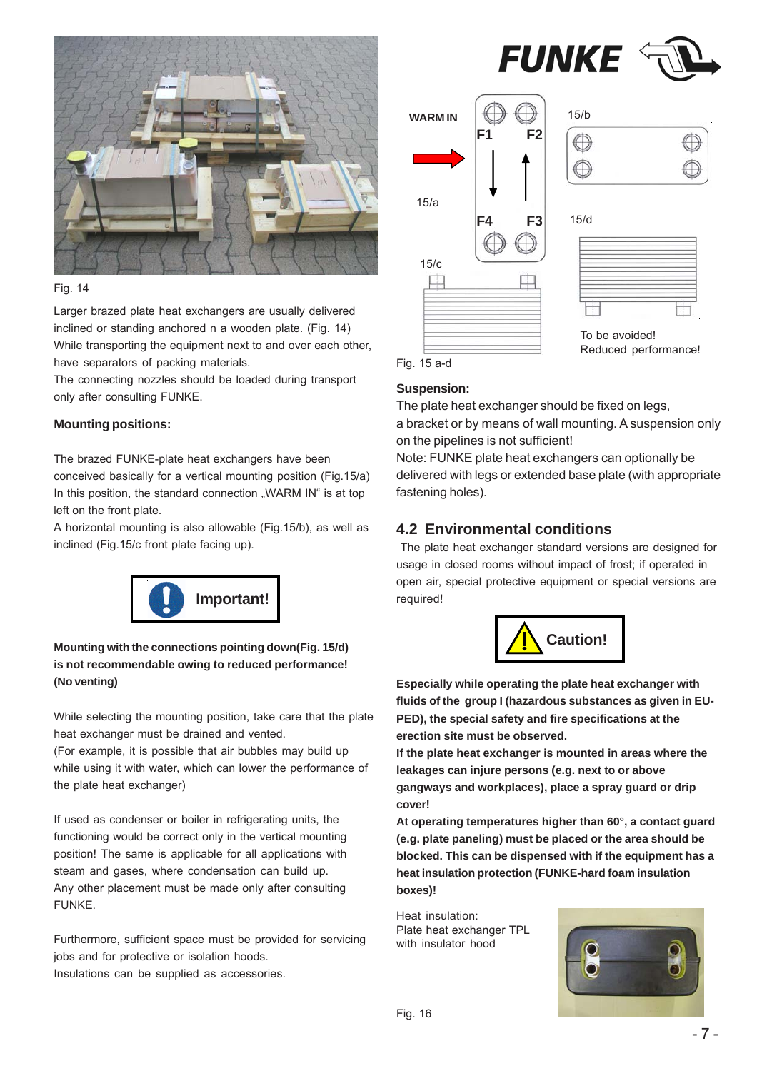

#### Fig. 14

Larger brazed plate heat exchangers are usually delivered inclined or standing anchored n a wooden plate. (Fig. 14) While transporting the equipment next to and over each other, have separators of packing materials.

The connecting nozzles should be loaded during transport only after consulting FUNKE.

#### **Mounting positions:**

The brazed FUNKE-plate heat exchangers have been conceived basically for a vertical mounting position (Fig.15/a) In this position, the standard connection "WARM IN" is at top left on the front plate.

A horizontal mounting is also allowable (Fig.15/b), as well as inclined (Fig.15/c front plate facing up).



### **Mounting with the connections pointing down(Fig. 15/d) is not recommendable owing to reduced performance! (No venting)**

While selecting the mounting position, take care that the plate heat exchanger must be drained and vented.

(For example, it is possible that air bubbles may build up while using it with water, which can lower the performance of the plate heat exchanger)

If used as condenser or boiler in refrigerating units, the functioning would be correct only in the vertical mounting position! The same is applicable for all applications with steam and gases, where condensation can build up. Any other placement must be made only after consulting **FUNKE** 

Furthermore, sufficient space must be provided for servicing jobs and for protective or isolation hoods. Insulations can be supplied as accessories.



## **Suspension:**

The plate heat exchanger should be fixed on legs,

a bracket or by means of wall mounting. A suspension only on the pipelines is not sufficient!

Note: FUNKE plate heat exchangers can optionally be delivered with legs or extended base plate (with appropriate fastening holes).

## **4.2 Environmental conditions**

The plate heat exchanger standard versions are designed for usage in closed rooms without impact of frost; if operated in open air, special protective equipment or special versions are required!



**Especially while operating the plate heat exchanger with fluids of the group I (hazardous substances as given in EU-PED), the special safety and fire specifications at the erection site must be observed.**

**If the plate heat exchanger is mounted in areas where the leakages can injure persons (e.g. next to or above gangways and workplaces), place a spray guard or drip cover!**

**At operating temperatures higher than 60°, a contact guard (e.g. plate paneling) must be placed or the area should be blocked. This can be dispensed with if the equipment has a heat insulation protection (FUNKE-hard foam insulation boxes)!**

Heat insulation: Plate heat exchanger TPL with insulator hood

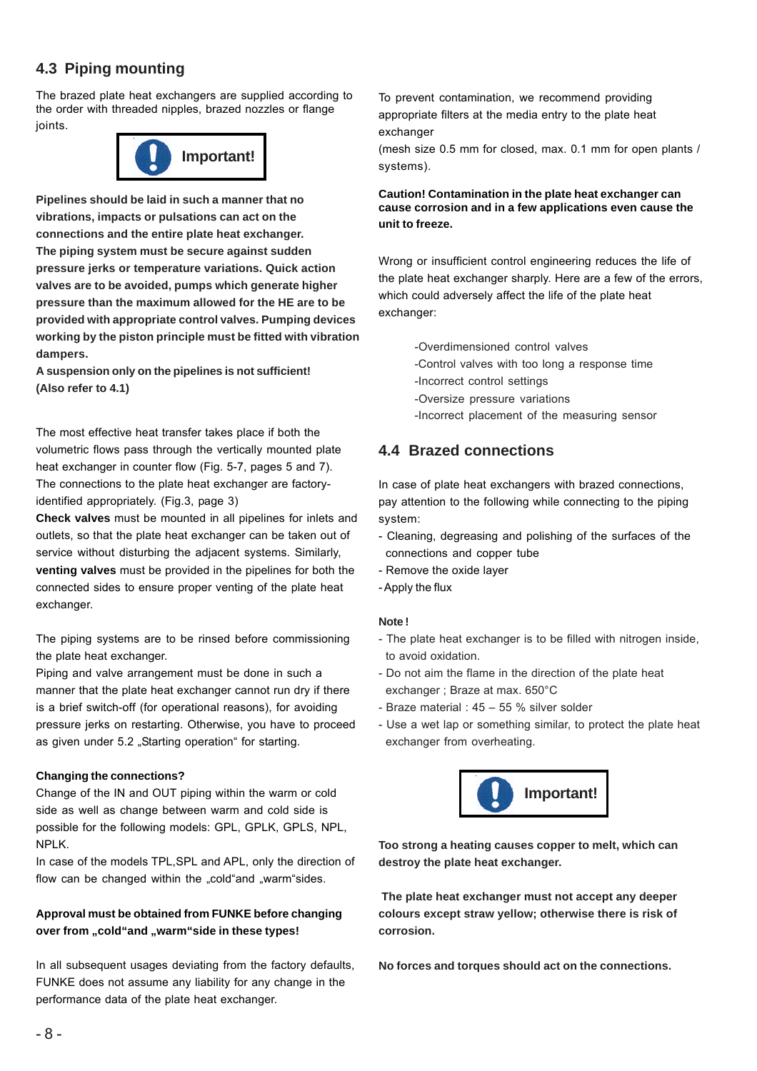## **4.3 Piping mounting**

The brazed plate heat exchangers are supplied according to the order with threaded nipples, brazed nozzles or flange joints.



**Pipelines should be laid in such a manner that no vibrations, impacts or pulsations can act on the connections and the entire plate heat exchanger. The piping system must be secure against sudden pressure jerks or temperature variations. Quick action valves are to be avoided, pumps which generate higher pressure than the maximum allowed for the HE are to be provided with appropriate control valves. Pumping devices working by the piston principle must be fitted with vibration dampers.**

**A suspension only on the pipelines is not sufficient! (Also refer to 4.1)**

The most effective heat transfer takes place if both the volumetric flows pass through the vertically mounted plate heat exchanger in counter flow (Fig. 5-7, pages 5 and 7). The connections to the plate heat exchanger are factoryidentified appropriately. (Fig.3, page 3)

**Check valves** must be mounted in all pipelines for inlets and outlets, so that the plate heat exchanger can be taken out of service without disturbing the adjacent systems. Similarly, **venting valves** must be provided in the pipelines for both the connected sides to ensure proper venting of the plate heat exchanger.

The piping systems are to be rinsed before commissioning the plate heat exchanger.

Piping and valve arrangement must be done in such a manner that the plate heat exchanger cannot run dry if there is a brief switch-off (for operational reasons), for avoiding pressure jerks on restarting. Otherwise, you have to proceed as given under 5.2 "Starting operation" for starting.

#### **Changing the connections?**

Change of the IN and OUT piping within the warm or cold side as well as change between warm and cold side is possible for the following models: GPL, GPLK, GPLS, NPL, NPLK.

In case of the models TPL,SPL and APL, only the direction of flow can be changed within the "cold"and "warm"sides.

#### **Approval must be obtained from FUNKE before changing** over from "cold"and "warm"side in these types!

In all subsequent usages deviating from the factory defaults, FUNKE does not assume any liability for any change in the performance data of the plate heat exchanger.

To prevent contamination, we recommend providing appropriate filters at the media entry to the plate heat exchanger

(mesh size 0.5 mm for closed, max. 0.1 mm for open plants / systems).

#### **Caution! Contamination in the plate heat exchanger can cause corrosion and in a few applications even cause the unit to freeze.**

Wrong or insufficient control engineering reduces the life of the plate heat exchanger sharply. Here are a few of the errors, which could adversely affect the life of the plate heat exchanger:

-Overdimensioned control valves

- -Control valves with too long a response time
- -Incorrect control settings
- -Oversize pressure variations
- -Incorrect placement of the measuring sensor

## **4.4 Brazed connections**

In case of plate heat exchangers with brazed connections, pay attention to the following while connecting to the piping system:

- Cleaning, degreasing and polishing of the surfaces of the connections and copper tube
- Remove the oxide layer
- Apply the flux

#### **Note !**

- The plate heat exchanger is to be filled with nitrogen inside, to avoid oxidation.
- Do not aim the flame in the direction of the plate heat exchanger ; Braze at max. 650°C
- Braze material : 45 55 % silver solder
- Use a wet lap or something similar, to protect the plate heat exchanger from overheating.



**Too strong a heating causes copper to melt, which can destroy the plate heat exchanger.**

 **The plate heat exchanger must not accept any deeper colours except straw yellow; otherwise there is risk of corrosion.**

**No forces and torques should act on the connections.**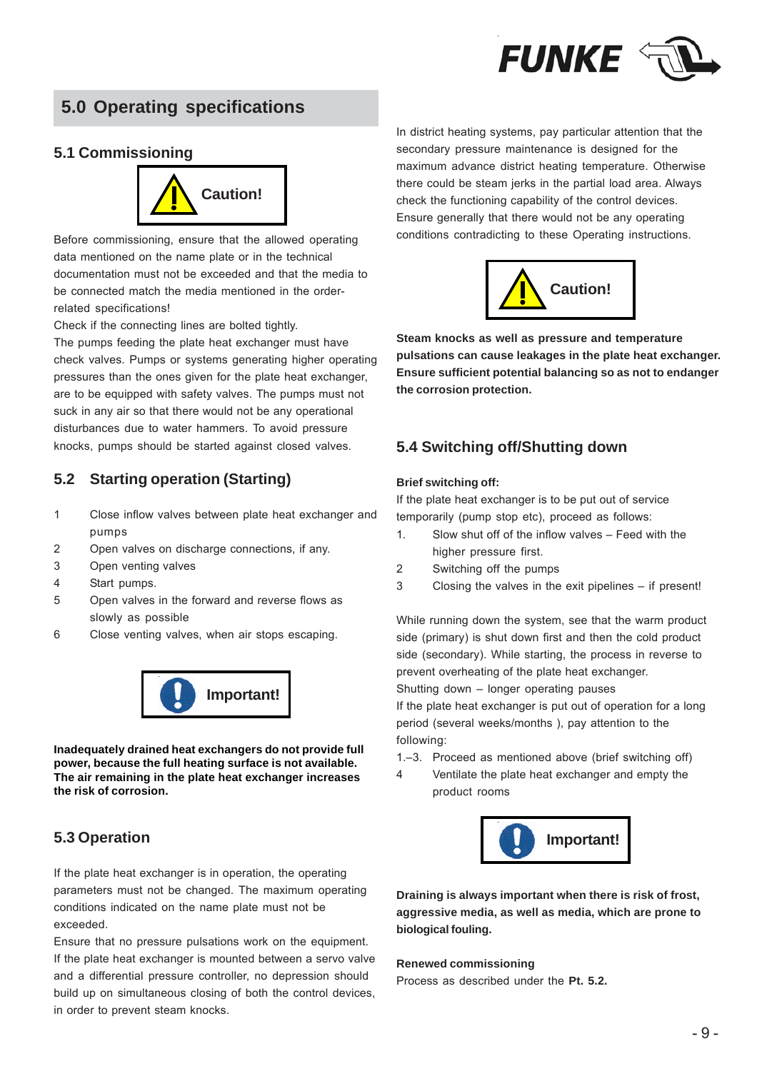

# **5.0 Operating specifications**

## **5.1 Commissioning**



Before commissioning, ensure that the allowed operating data mentioned on the name plate or in the technical documentation must not be exceeded and that the media to be connected match the media mentioned in the orderrelated specifications!

Check if the connecting lines are bolted tightly.

The pumps feeding the plate heat exchanger must have check valves. Pumps or systems generating higher operating pressures than the ones given for the plate heat exchanger, are to be equipped with safety valves. The pumps must not suck in any air so that there would not be any operational disturbances due to water hammers. To avoid pressure knocks, pumps should be started against closed valves.

## **5.2 Starting operation (Starting)**

- 1 Close inflow valves between plate heat exchanger and pumps
- 2 Open valves on discharge connections, if any.
- 3 Open venting valves
- 4 Start pumps.
- 5 Open valves in the forward and reverse flows as slowly as possible
- 6 Close venting valves, when air stops escaping.



**Inadequately drained heat exchangers do not provide full power, because the full heating surface is not available. The air remaining in the plate heat exchanger increases the risk of corrosion.**

## **5.3 Operation**

If the plate heat exchanger is in operation, the operating parameters must not be changed. The maximum operating conditions indicated on the name plate must not be exceeded.

Ensure that no pressure pulsations work on the equipment. If the plate heat exchanger is mounted between a servo valve and a differential pressure controller, no depression should build up on simultaneous closing of both the control devices, in order to prevent steam knocks.

In district heating systems, pay particular attention that the secondary pressure maintenance is designed for the maximum advance district heating temperature. Otherwise there could be steam jerks in the partial load area. Always check the functioning capability of the control devices. Ensure generally that there would not be any operating conditions contradicting to these Operating instructions.



**Steam knocks as well as pressure and temperature pulsations can cause leakages in the plate heat exchanger. Ensure sufficient potential balancing so as not to endanger the corrosion protection.**

## **5.4 Switching off/Shutting down**

#### **Brief switching off:**

If the plate heat exchanger is to be put out of service temporarily (pump stop etc), proceed as follows:

- 1. Slow shut off of the inflow valves Feed with the higher pressure first.
- 2 Switching off the pumps
- 3 Closing the valves in the exit pipelines if present!

While running down the system, see that the warm product side (primary) is shut down first and then the cold product side (secondary). While starting, the process in reverse to prevent overheating of the plate heat exchanger.

Shutting down – longer operating pauses

If the plate heat exchanger is put out of operation for a long period (several weeks/months ), pay attention to the following:

- 1.–3. Proceed as mentioned above (brief switching off)
- 4 Ventilate the plate heat exchanger and empty the product rooms



**Draining is always important when there is risk of frost, aggressive media, as well as media, which are prone to biological fouling.**

#### **Renewed commissioning**

Process as described under the **Pt. 5.2.**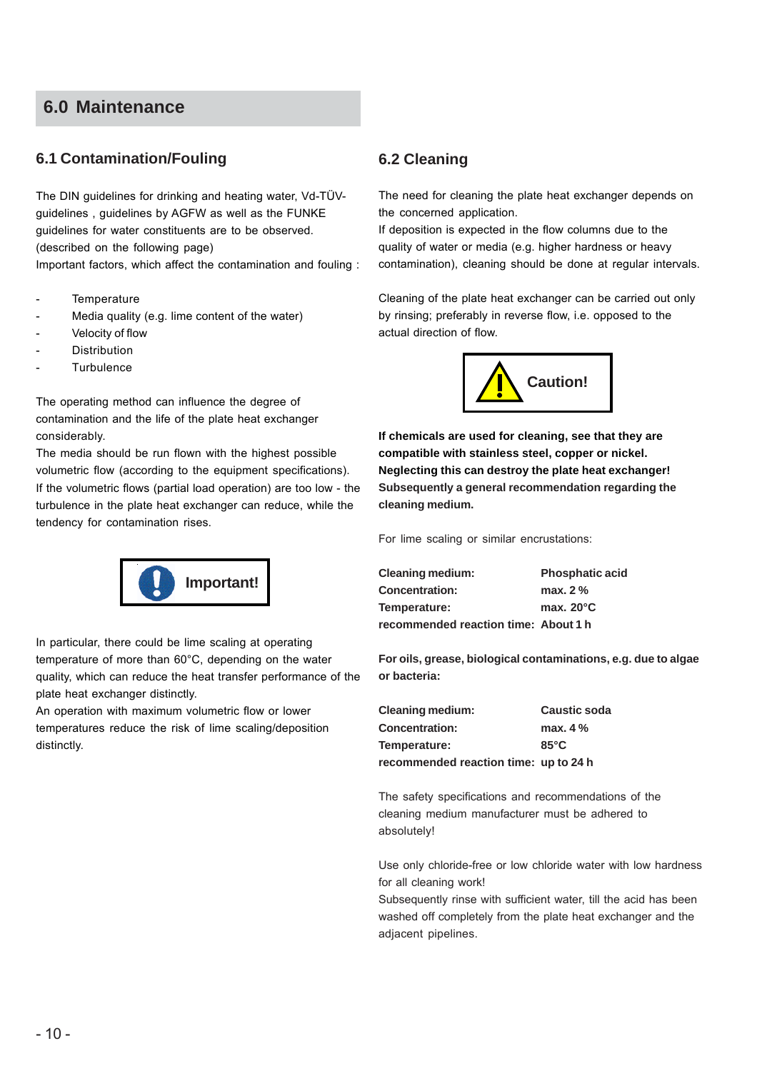# **6.0 Maintenance**

## **6.1 Contamination/Fouling**

The DIN guidelines for drinking and heating water, Vd-TÜVguidelines , guidelines by AGFW as well as the FUNKE guidelines for water constituents are to be observed. (described on the following page) Important factors, which affect the contamination and fouling :

- **Temperature**
- Media quality (e.g. lime content of the water)
- Velocity of flow
- **Distribution**
- **Turbulence**

The operating method can influence the degree of contamination and the life of the plate heat exchanger considerably.

The media should be run flown with the highest possible volumetric flow (according to the equipment specifications). If the volumetric flows (partial load operation) are too low - the turbulence in the plate heat exchanger can reduce, while the tendency for contamination rises.



In particular, there could be lime scaling at operating temperature of more than 60°C, depending on the water quality, which can reduce the heat transfer performance of the plate heat exchanger distinctly.

An operation with maximum volumetric flow or lower temperatures reduce the risk of lime scaling/deposition distinctly.

## **6.2 Cleaning**

The need for cleaning the plate heat exchanger depends on the concerned application.

If deposition is expected in the flow columns due to the quality of water or media (e.g. higher hardness or heavy contamination), cleaning should be done at regular intervals.

Cleaning of the plate heat exchanger can be carried out only by rinsing; preferably in reverse flow, i.e. opposed to the actual direction of flow.



**If chemicals are used for cleaning, see that they are compatible with stainless steel, copper or nickel. Neglecting this can destroy the plate heat exchanger! Subsequently a general recommendation regarding the cleaning medium.**

For lime scaling or similar encrustations:

**Cleaning medium: Phosphatic acid Concentration: max. 2 % Temperature: max. 20°C recommended reaction time: About 1 h**

**For oils, grease, biological contaminations, e.g. due to algae or bacteria:**

**Cleaning medium: Caustic soda Concentration: max. 4 % Temperature: 85°C recommended reaction time: up to 24 h**

The safety specifications and recommendations of the cleaning medium manufacturer must be adhered to absolutely!

Use only chloride-free or low chloride water with low hardness for all cleaning work!

Subsequently rinse with sufficient water, till the acid has been washed off completely from the plate heat exchanger and the adjacent pipelines.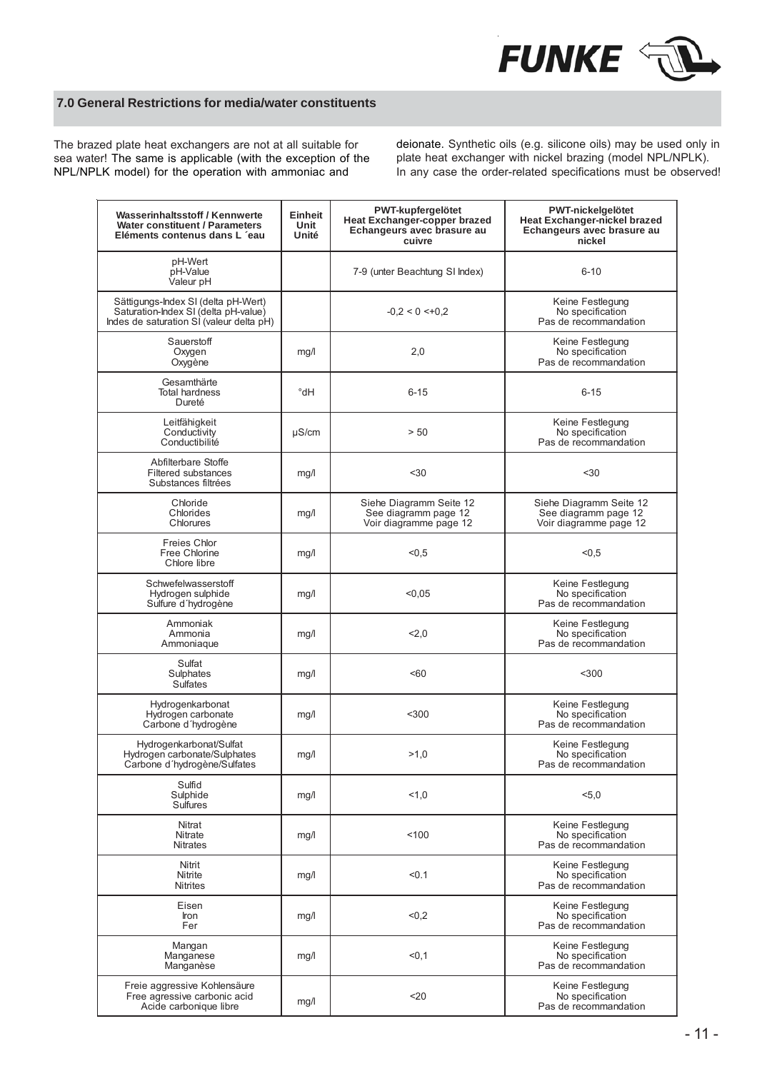

#### **7.0 General Restrictions for media/water constituents**

The brazed plate heat exchangers are not at all suitable for sea water! The same is applicable (with the exception of the NPL/NPLK model) for the operation with ammoniac and

deionate. Synthetic oils (e.g. silicone oils) may be used only in plate heat exchanger with nickel brazing (model NPL/NPLK). In any case the order-related specifications must be observed!

| Wasserinhaltsstoff / Kennwerte<br><b>Water constituent / Parameters</b><br>Eléments contenus dans L'eau                 | Einheit<br>Unit<br>Unité | PWT-kupfergelötet<br><b>Heat Exchanger-copper brazed</b><br>Echangeurs avec brasure au<br>cuivre | <b>PWT-nickelgelötet</b><br><b>Heat Exchanger-nickel brazed</b><br>Echangeurs avec brasure au<br>nickel |
|-------------------------------------------------------------------------------------------------------------------------|--------------------------|--------------------------------------------------------------------------------------------------|---------------------------------------------------------------------------------------------------------|
| pH-Wert<br>pH-Value<br>Valeur pH                                                                                        |                          | 7-9 (unter Beachtung SI Index)                                                                   | $6 - 10$                                                                                                |
| Sättigungs-Index SI (delta pH-Wert)<br>Saturation-Index SI (delta pH-value)<br>Indes de saturation SI (valeur delta pH) |                          | $-0.2 < 0 < +0.2$                                                                                | Keine Festlegung<br>No specification<br>Pas de recommandation                                           |
| Sauerstoff<br>Oxygen<br>Oxygène                                                                                         | mg/l                     | 2,0                                                                                              | Keine Festlegung<br>No specification<br>Pas de recommandation                                           |
| Gesamthärte<br><b>Total hardness</b><br>Dureté                                                                          | °dH                      | $6 - 15$                                                                                         | $6 - 15$                                                                                                |
| Leitfähigkeit<br>Conductivity<br>Conductibilité                                                                         | $\mu$ S/cm               | > 50                                                                                             | Keine Festlegung<br>No specification<br>Pas de recommandation                                           |
| Abfilterbare Stoffe<br><b>Filtered substances</b><br>Substances filtrées                                                | mg/l                     | $30$                                                                                             | $30$                                                                                                    |
| Chloride<br>Chlorides<br>Chlorures                                                                                      | mg/l                     | Siehe Diagramm Seite 12<br>See diagramm page 12<br>Voir diagramme page 12                        | Siehe Diagramm Seite 12<br>See diagramm page 12<br>Voir diagramme page 12                               |
| Freies Chlor<br>Free Chlorine<br>Chlore libre                                                                           | mg/l                     | < 0, 5                                                                                           | < 0, 5                                                                                                  |
| Schwefelwasserstoff<br>Hydrogen sulphide<br>Sulfure d'hydrogène                                                         | mg/l                     | < 0.05                                                                                           | Keine Festlegung<br>No specification<br>Pas de recommandation                                           |
| Ammoniak<br>Ammonia<br>Ammoniaque                                                                                       | mg/l                     | 2,0                                                                                              | Keine Festlegung<br>No specification<br>Pas de recommandation                                           |
| Sulfat<br>Sulphates<br><b>Sulfates</b>                                                                                  | mg/l                     | < 60                                                                                             | $300$                                                                                                   |
| Hydrogenkarbonat<br>Hydrogen carbonate<br>Carbone d'hydrogène                                                           | mg/l                     | $300$                                                                                            | Keine Festlegung<br>No specification<br>Pas de recommandation                                           |
| Hydrogenkarbonat/Sulfat<br>Hydrogen carbonate/Sulphates<br>Carbone d'hydrogène/Sulfates                                 | mg/l                     | >1.0                                                                                             | Keine Festlegung<br>No specification<br>Pas de recommandation                                           |
| Sulfid<br>Sulphide<br><b>Sulfures</b>                                                                                   | mg/l                     | 1,0                                                                                              | 5,0                                                                                                     |
| Nitrat<br><b>Nitrate</b><br><b>Nitrates</b>                                                                             | mg/l                     | 100                                                                                              | Keine Festlegung<br>No specification<br>Pas de recommandation                                           |
| Nitrit<br>Nitrite<br><b>Nitrites</b>                                                                                    | mg/l                     | < 0.1                                                                                            | Keine Festlegung<br>No specification<br>Pas de recommandation                                           |
| Eisen<br>Iron<br>Fer                                                                                                    | mg/l                     | < 0, 2                                                                                           | Keine Festlegung<br>No specification<br>Pas de recommandation                                           |
| Mangan<br>Manganese<br>Manganèse                                                                                        | mg/l                     | < 0.1                                                                                            | Keine Festlegung<br>No specification<br>Pas de recommandation                                           |
| Freie aggressive Kohlensäure<br>Free agressive carbonic acid<br>Acide carbonique libre                                  | mg/l                     | $20$                                                                                             | Keine Festlegung<br>No specification<br>Pas de recommandation                                           |